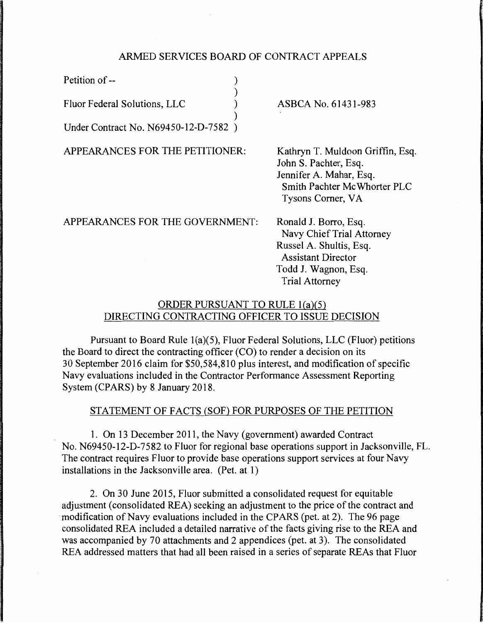### ARMED SERVICES BOARD OF CONTRACT APPEALS

)

Petition of -- (1)

Fluor Federal Solutions, LLC )

) Under Contract No. N69450-12-D-7582 )

APPEARANCES FOR THE PETITIONER:

ASBCA No. 61431-983

Kathryn T. Muldoon Griffin, Esq. John S. Pachter, Esq. Jennifer A. Mahar, Esq. Smith Pachter Mc Whorter PLC Tysons Comer, VA

APPEARANCES FOR THE GOVERNMENT:

Ronald J. Borro, Esq. Navy Chief Trial Attorney Russel A. Shultis, Esq. Assistant Director Todd J. Wagnon, Esq. Trial Attorney

# ORDER PURSUANT TO RULE l(a)(5) DIRECTING CONTRACTING OFFICER TO ISSUE DECISION

Pursuant to Board Rule l(a)(5), Fluor Federal Solutions, LLC (Fluor) petitions the Board to direct the contracting officer (CO) to render a decision on its 30 September 2016 claim for \$50,584,810 plus interest, and modification of specific Navy evaluations included in the Contractor Performance Assessment Reporting System (CPARS) by 8 January 2018.

## STATEMENT OF FACTS (SOF) FOR PURPOSES OF THE PETITION

1. On 13 December 2011, the Navy (government) awarded Contract No. N69450-12-D-7582 to Fluor for regional base operations support in Jacksonville, FL. The contract requires Fluor to provide base operations support services at four Navy installations in the Jacksonville area. (Pet. at 1)

2. On 30 June 2015, Fluor submitted a consolidated request for equitable adjustment (consolidated REA) seeking an adjustment to the price of the contract and modification of Navy evaluations included in the CPARS (pet. at 2). The 96 page consolidated REA included a detailed narrative of the facts giving rise to the REA and was accompanied by 70 attachments and 2 appendices (pet. at 3). The consolidated REA addressed matters that had all been raised in a series of separate REAs that Fluor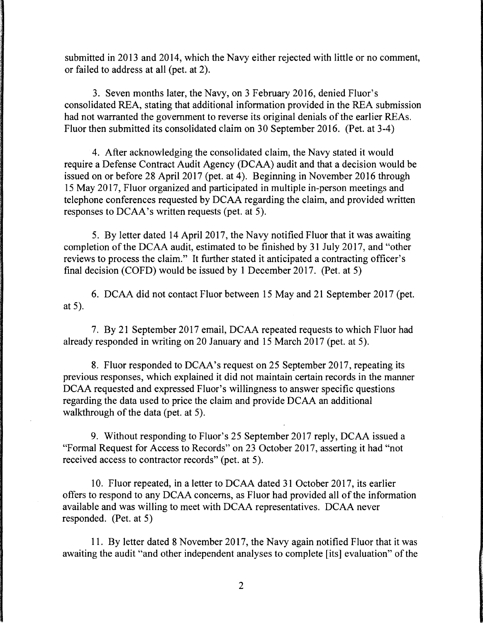submitted in 2013 and 2014, which the Navy either rejected with little or no comment, or failed to address at all (pet. at 2).

3. Seven months later, the Navy, on 3 February 2016, denied Fluor's consolidated REA, stating that additional information provided in the REA submission had not warranted the government to reverse its original denials of the earlier REAs. Fluor then submitted its consolidated claim on 30 September 2016. (Pet. at 3-4)

4. After acknowledging the consolidated claim, the Navy stated it would require a Defense Contract Audit Agency (DCAA) audit and that a decision would be issued on or before 28 April 2017 (pet. at 4). Beginning in November 2016 through 15 May 2017, Fluor organized and participated in multiple in-person meetings and telephone conferences requested by DCAA regarding the claim, and provided written responses to DCAA's written requests (pet. at 5).

5. By letter dated 14 April 2017, the Navy notified Fluor that it was awaiting completion of the DCAA audit, estimated to be finished by 31 July 2017, and "other reviews to process the claim." It further stated it anticipated a contracting officer's final decision (COFD) would be issued by 1 December 2017. (Pet. at 5)

6. DCAA did not contact Fluor between 15 May and 21 September 2017 (pet. at 5).

7. By 21 September 2017 email, DCAA repeated requests to which Fluor had already responded in writing on 20 January and 15 March 2017 (pet. at 5).

8. Fluor responded to DCAA's request on 25 September 2017, repeating its previous responses, which explained it did not maintain certain records in the manner DCAA requested and expressed Fluor's willingness to answer specific questions regarding the data used to price the claim and provide DCAA an additional walkthrough of the data (pet. at 5).

9. Without responding to Fluor's 25 September 2017 reply, DCAA issued a "Formal Request for Access to Records" on 23 October 2017, asserting it had "not received access to contractor records" (pet. at 5).

10. Fluor repeated, in a letter to DCAA dated 31 October 2017, its earlier offers to respond to any DCAA concerns, as Fluor had provided all of the information available and was willing to meet with DCAA representatives. DCAA never responded. (Pet. at 5)

11. By letter dated 8 November 2017, the Navy again notified Fluor that it was awaiting the audit "and other independent analyses to complete [its] evaluation" of the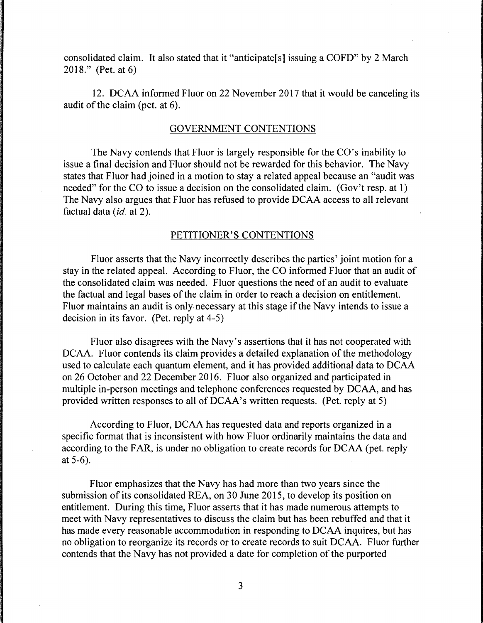consolidated claim. It also stated that it "anticipate[s] issuing a COFD" by 2 March 2018." (Pet. at 6)

12. DCAA informed Fluor on 22 November 2017 that it would be canceling its audit of the claim (pet. at 6).

#### GOVERNMENT CONTENTIONS

The Navy contends that Fluor is largely responsible for the CO's inability to issue a final decision and Fluor should not be rewarded for this behavior. The Navy states that Fluor had joined in a motion to stay a related appeal because an "audit was needed" for the CO to issue a decision on the consolidated claim. (Gov't resp. at 1) The Navy also argues that Fluor has refused to provide DCAA access to all relevant factual data *(id.* at 2).

#### PETITIONER'S CONTENTIONS

Fluor asserts that the Navy incorrectly describes the parties' joint motion for a stay in the related appeal. According to Fluor, the CO informed Fluor that an audit of the consolidated claim was needed. Fluor questions the need of an audit to evaluate the factual and legal bases of the claim in order to reach a decision on entitlement. Fluor maintains an audit is only necessary at this stage if the Navy intends to issue a decision in its favor. (Pet. reply at 4-5)

Fluor also disagrees with the Navy's assertions that it has not cooperated with DCAA. Fluor contends its claim provides a detailed explanation of the methodology used to calculate each quantum element, and it has provided additional data to DCAA on 26 October and 22 December 2016. Fluor also organized and participated in multiple in-person meetings and telephone conferences requested by DCAA, and has provided written responses to all of DCAA's written requests. (Pet. reply at 5)

According to Fluor, DCAA has requested data and reports organized in a specific format that is inconsistent with how Fluor ordinarily maintains the data and according to the FAR, is under no obligation to create records for DCAA (pet. reply at 5-6).

Fluor emphasizes that the Navy has had more than two years since the submission of its consolidated REA, on 30 June 2015, to develop its position on entitlement. During this time, Fluor asserts that it has made numerous attempts to meet with Navy representatives to discuss the claim but has been rebuffed and that it has made every reasonable accommodation in responding to DCAA inquires, but has no obligation to reorganize its records or to create records to suit DCAA. Fluor further contends that the Navy has not provided a date for completion of the purported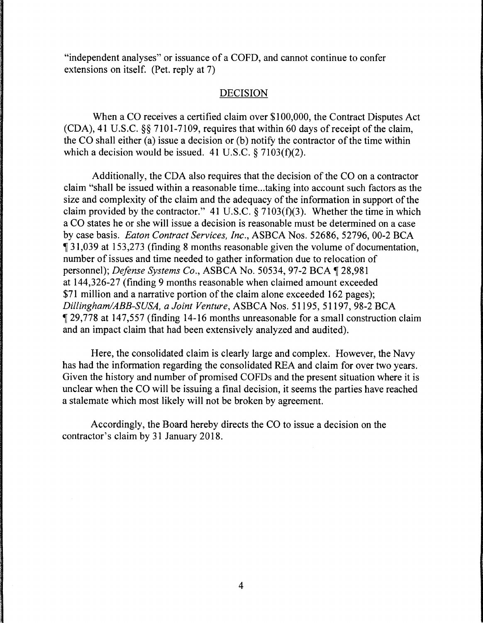"independent analyses" or issuance of a COFD, and cannot continue to confer extensions on itself. (Pet. reply at 7)

### DECISION

When a CO receives a certified claim over \$100,000, the Contract Disputes Act (CDA), 41 U.S.C. §§ 7101-7109, requires that within 60 days of receipt of the claim, the CO shall either (a) issue a decision or (b) notify the contractor of the time within which a decision would be issued. 41 U.S.C.  $\frac{27103(f)(2)}{2}$ .

Additionally, the CDA also requires that the decision of the CO on a contractor claim "shall be issued within a reasonable time ... taking into account such factors as the size and complexity of the claim and the adequacy of the information in support of the claim provided by the contractor." 41 U.S.C.  $\S 7103(f)(3)$ . Whether the time in which a CO states he or she will issue a decision is reasonable must be determined on a case by case basis. *Eaton Contract Services, Inc.,* ASBCA Nos. 52686, 52796, 00-2 BCA <sup>~</sup>31,039 at 153,273 (finding 8 months reasonable given the volume of documentation, number of issues and time needed to gather information due to relocation of personnel); *Defense Systems Co.*, ASBCA No. 50534, 97-2 BCA ¶ 28,981 at 144,326-27 (finding 9 months reasonable when claimed amount exceeded \$71 million and a narrative portion of the claim alone exceeded 162 pages); *Dillingham/ABB-SUSA, a Joint Venture,* ASBCA Nos. 51195, 51197, 98-2 BCA <sup>~</sup>29,778 at 147,557 (finding 14-16 months unreasonable for a small construction claim and an impact claim that had been extensively analyzed and audited).

Here, the consolidated claim is clearly large and complex. However, the Navy has had the information regarding the consolidated REA and claim for over two years. Given the history and number of promised COFDs and the present situation where it is unclear when the CO will be issuing a final decision, it seems the parties have reached a stalemate which most likely will not be broken by agreement.

Accordingly, the Board hereby directs the CO to issue a decision on the contractor's claim by 31 January 2018.